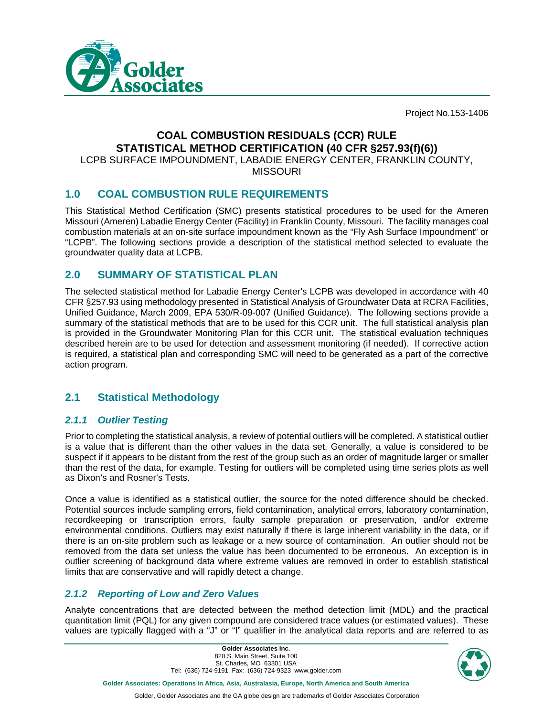

Project No.153-1406

# **COAL COMBUSTION RESIDUALS (CCR) RULE STATISTICAL METHOD CERTIFICATION (40 CFR §257.93(f)(6))**

LCPB SURFACE IMPOUNDMENT, LABADIE ENERGY CENTER, FRANKLIN COUNTY, **MISSOURI** 

# **1.0 COAL COMBUSTION RULE REQUIREMENTS**

This Statistical Method Certification (SMC) presents statistical procedures to be used for the Ameren Missouri (Ameren) Labadie Energy Center (Facility) in Franklin County, Missouri. The facility manages coal combustion materials at an on-site surface impoundment known as the "Fly Ash Surface Impoundment" or "LCPB". The following sections provide a description of the statistical method selected to evaluate the groundwater quality data at LCPB.

# **2.0 SUMMARY OF STATISTICAL PLAN**

The selected statistical method for Labadie Energy Center's LCPB was developed in accordance with 40 CFR §257.93 using methodology presented in Statistical Analysis of Groundwater Data at RCRA Facilities, Unified Guidance, March 2009, EPA 530/R-09-007 (Unified Guidance). The following sections provide a summary of the statistical methods that are to be used for this CCR unit. The full statistical analysis plan is provided in the Groundwater Monitoring Plan for this CCR unit. The statistical evaluation techniques described herein are to be used for detection and assessment monitoring (if needed). If corrective action is required, a statistical plan and corresponding SMC will need to be generated as a part of the corrective action program.

# **2.1 Statistical Methodology**

## *2.1.1 Outlier Testing*

Prior to completing the statistical analysis, a review of potential outliers will be completed. A statistical outlier is a value that is different than the other values in the data set. Generally, a value is considered to be suspect if it appears to be distant from the rest of the group such as an order of magnitude larger or smaller than the rest of the data, for example. Testing for outliers will be completed using time series plots as well as Dixon's and Rosner's Tests.

Once a value is identified as a statistical outlier, the source for the noted difference should be checked. Potential sources include sampling errors, field contamination, analytical errors, laboratory contamination, recordkeeping or transcription errors, faulty sample preparation or preservation, and/or extreme environmental conditions. Outliers may exist naturally if there is large inherent variability in the data, or if there is an on-site problem such as leakage or a new source of contamination. An outlier should not be removed from the data set unless the value has been documented to be erroneous. An exception is in outlier screening of background data where extreme values are removed in order to establish statistical limits that are conservative and will rapidly detect a change.

## *2.1.2 Reporting of Low and Zero Values*

Analyte concentrations that are detected between the method detection limit (MDL) and the practical quantitation limit (PQL) for any given compound are considered trace values (or estimated values). These values are typically flagged with a "J" or "I" qualifier in the analytical data reports and are referred to as

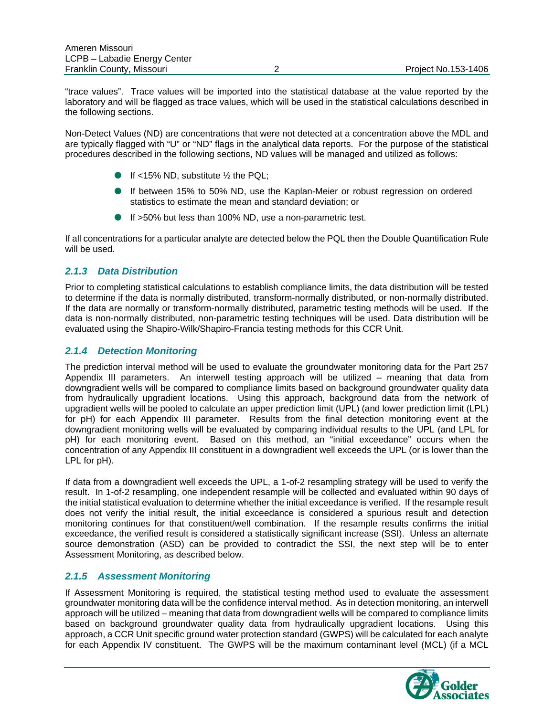"trace values". Trace values will be imported into the statistical database at the value reported by the laboratory and will be flagged as trace values, which will be used in the statistical calculations described in the following sections.

Non-Detect Values (ND) are concentrations that were not detected at a concentration above the MDL and are typically flagged with "U" or "ND" flags in the analytical data reports. For the purpose of the statistical procedures described in the following sections, ND values will be managed and utilized as follows:

- If <15% ND, substitute  $\frac{1}{2}$  the PQL;
- If between 15% to 50% ND, use the Kaplan-Meier or robust regression on ordered statistics to estimate the mean and standard deviation; or
- If >50% but less than 100% ND, use a non-parametric test.

If all concentrations for a particular analyte are detected below the PQL then the Double Quantification Rule will be used.

#### *2.1.3 Data Distribution*

Prior to completing statistical calculations to establish compliance limits, the data distribution will be tested to determine if the data is normally distributed, transform-normally distributed, or non-normally distributed. If the data are normally or transform-normally distributed, parametric testing methods will be used. If the data is non-normally distributed, non-parametric testing techniques will be used. Data distribution will be evaluated using the Shapiro-Wilk/Shapiro-Francia testing methods for this CCR Unit.

### *2.1.4 Detection Monitoring*

The prediction interval method will be used to evaluate the groundwater monitoring data for the Part 257 Appendix III parameters. An interwell testing approach will be utilized – meaning that data from downgradient wells will be compared to compliance limits based on background groundwater quality data from hydraulically upgradient locations. Using this approach, background data from the network of upgradient wells will be pooled to calculate an upper prediction limit (UPL) (and lower prediction limit (LPL) for pH) for each Appendix III parameter. Results from the final detection monitoring event at the downgradient monitoring wells will be evaluated by comparing individual results to the UPL (and LPL for pH) for each monitoring event. Based on this method, an "initial exceedance" occurs when the concentration of any Appendix III constituent in a downgradient well exceeds the UPL (or is lower than the LPL for pH).

If data from a downgradient well exceeds the UPL, a 1-of-2 resampling strategy will be used to verify the result. In 1-of-2 resampling, one independent resample will be collected and evaluated within 90 days of the initial statistical evaluation to determine whether the initial exceedance is verified. If the resample result does not verify the initial result, the initial exceedance is considered a spurious result and detection monitoring continues for that constituent/well combination. If the resample results confirms the initial exceedance, the verified result is considered a statistically significant increase (SSI). Unless an alternate source demonstration (ASD) can be provided to contradict the SSI, the next step will be to enter Assessment Monitoring, as described below.

#### *2.1.5 Assessment Monitoring*

If Assessment Monitoring is required, the statistical testing method used to evaluate the assessment groundwater monitoring data will be the confidence interval method. As in detection monitoring, an interwell approach will be utilized – meaning that data from downgradient wells will be compared to compliance limits based on background groundwater quality data from hydraulically upgradient locations. Using this approach, a CCR Unit specific ground water protection standard (GWPS) will be calculated for each analyte for each Appendix IV constituent. The GWPS will be the maximum contaminant level (MCL) (if a MCL

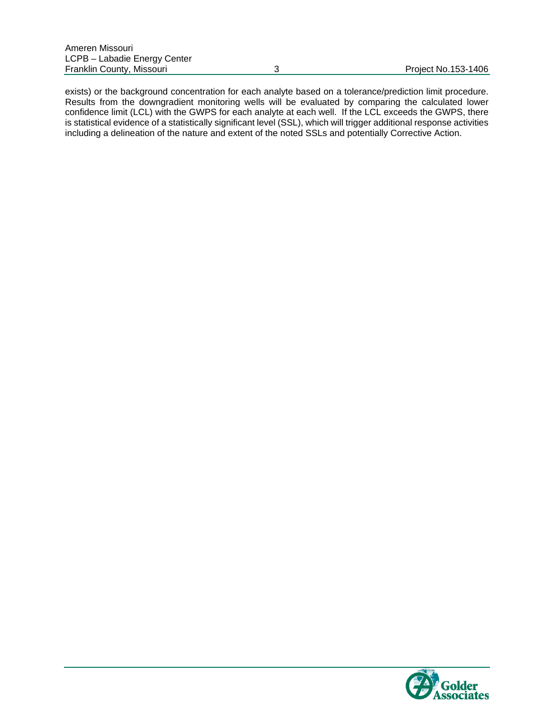exists) or the background concentration for each analyte based on a tolerance/prediction limit procedure. Results from the downgradient monitoring wells will be evaluated by comparing the calculated lower confidence limit (LCL) with the GWPS for each analyte at each well. If the LCL exceeds the GWPS, there is statistical evidence of a statistically significant level (SSL), which will trigger additional response activities including a delineation of the nature and extent of the noted SSLs and potentially Corrective Action.